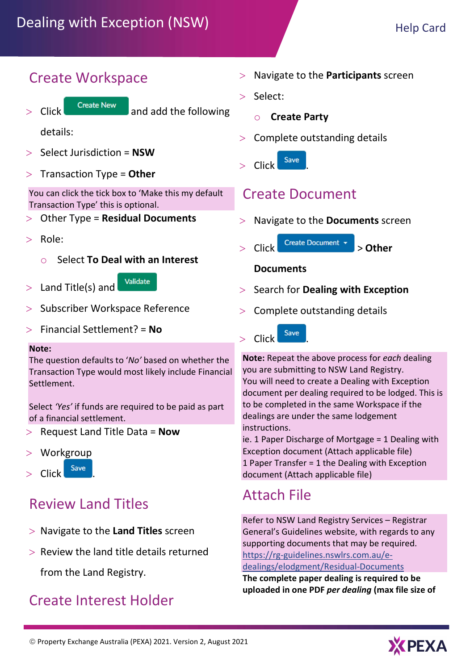### Create Workspace

- $\sum$  Click Create New and add the following details:
- $>$  Select Jurisdiction = NSW
- $>$  Transaction Type = Other

You can click the tick box to 'Make this my default Transaction Type' this is optional.

- $>$  Other Type = Residual Documents
- $>$  Role:
	- o Select To Deal with an Interest
- $>$  Land Title(s) and



- > Subscriber Workspace Reference
- $>$  Financial Settlement? = No

### Note:

The question defaults to 'No' based on whether the Transaction Type would most likely include Financial Settlement.

Select 'Yes' if funds are required to be paid as part of a financial settlement.

- $>$  Request Land Title Data = Now
- Workgroup
- Click Save

# Review Land Titles

- $>$  Navigate to the Land Titles screen
- $>$  Review the land title details returned

# from the Land Registry.

## Create Interest Holder

- Navigate to the Participants screen
- > Select:
	- o Create Party
- Complete outstanding details
- $>$  Click  $Save$

### Create Document

- > Navigate to the **Documents** screen
	- $Click$  Create Document  $\sim$  > Other
		- **Documents**
- $>$  Search for Dealing with Exception
- $>$  Complete outstanding details



Note: Repeat the above process for each dealing you are submitting to NSW Land Registry. You will need to create a Dealing with Exception document per dealing required to be lodged. This is to be completed in the same Workspace if the dealings are under the same lodgement instructions.

ie. 1 Paper Discharge of Mortgage = 1 Dealing with Exception document (Attach applicable file) 1 Paper Transfer = 1 the Dealing with Exception document (Attach applicable file)

# Attach File

Refer to NSW Land Registry Services – Registrar General's Guidelines website, with regards to any supporting documents that may be required. https://rg-guidelines.nswlrs.com.au/edealings/elodgment/Residual-Documents

The complete paper dealing is required to be uploaded in one PDF per dealing (max file size of